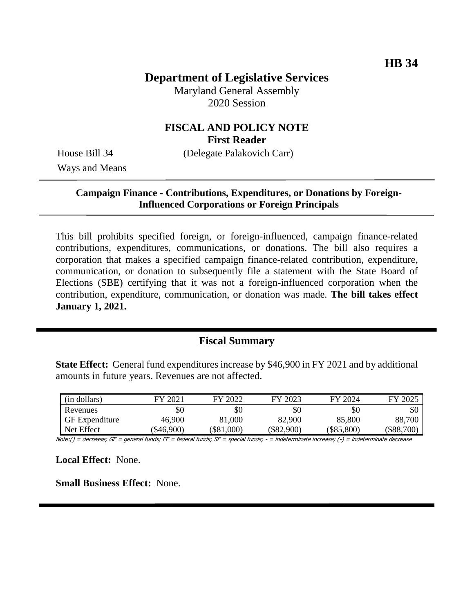# **Department of Legislative Services**

Maryland General Assembly 2020 Session

### **FISCAL AND POLICY NOTE First Reader**

House Bill 34 (Delegate Palakovich Carr)

Ways and Means

### **Campaign Finance - Contributions, Expenditures, or Donations by Foreign-Influenced Corporations or Foreign Principals**

This bill prohibits specified foreign, or foreign-influenced, campaign finance-related contributions, expenditures, communications, or donations. The bill also requires a corporation that makes a specified campaign finance-related contribution, expenditure, communication, or donation to subsequently file a statement with the State Board of Elections (SBE) certifying that it was not a foreign-influenced corporation when the contribution, expenditure, communication, or donation was made. **The bill takes effect January 1, 2021.**

## **Fiscal Summary**

**State Effect:** General fund expenditures increase by \$46,900 in FY 2021 and by additional amounts in future years. Revenues are not affected.

| (in dollars)          | FY 2021  | FY 2022      | FY 2023  | FY 2024      | FY 2025      |
|-----------------------|----------|--------------|----------|--------------|--------------|
| Revenues              | \$0      | \$0          | \$0      | \$0          | \$0          |
| <b>GF</b> Expenditure | 46,900   | 81,000       | 82,900   | 85,800       | 88,700       |
| Net Effect            | \$46,900 | $(\$81,000)$ | \$82,900 | $(\$85,800)$ | $(\$88,700)$ |

Note:() = decrease; GF = general funds; FF = federal funds; SF = special funds; - = indeterminate increase; (-) = indeterminate decrease

**Local Effect:** None.

**Small Business Effect:** None.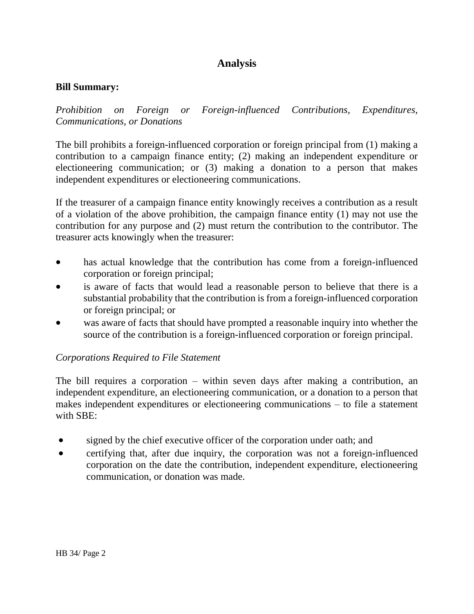# **Analysis**

### **Bill Summary:**

*Prohibition on Foreign or Foreign-influenced Contributions, Expenditures, Communications, or Donations*

The bill prohibits a foreign-influenced corporation or foreign principal from (1) making a contribution to a campaign finance entity; (2) making an independent expenditure or electioneering communication; or (3) making a donation to a person that makes independent expenditures or electioneering communications.

If the treasurer of a campaign finance entity knowingly receives a contribution as a result of a violation of the above prohibition, the campaign finance entity (1) may not use the contribution for any purpose and (2) must return the contribution to the contributor. The treasurer acts knowingly when the treasurer:

- has actual knowledge that the contribution has come from a foreign-influenced corporation or foreign principal;
- is aware of facts that would lead a reasonable person to believe that there is a substantial probability that the contribution is from a foreign-influenced corporation or foreign principal; or
- was aware of facts that should have prompted a reasonable inquiry into whether the source of the contribution is a foreign-influenced corporation or foreign principal.

## *Corporations Required to File Statement*

The bill requires a corporation – within seven days after making a contribution, an independent expenditure, an electioneering communication, or a donation to a person that makes independent expenditures or electioneering communications – to file a statement with SBE:

- signed by the chief executive officer of the corporation under oath; and
- certifying that, after due inquiry, the corporation was not a foreign-influenced corporation on the date the contribution, independent expenditure, electioneering communication, or donation was made.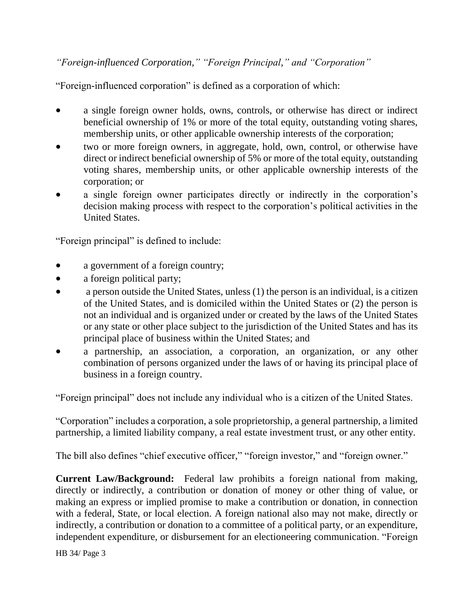*"Foreign-influenced Corporation," "Foreign Principal," and "Corporation"*

"Foreign-influenced corporation" is defined as a corporation of which:

- a single foreign owner holds, owns, controls, or otherwise has direct or indirect beneficial ownership of 1% or more of the total equity, outstanding voting shares, membership units, or other applicable ownership interests of the corporation;
- two or more foreign owners, in aggregate, hold, own, control, or otherwise have direct or indirect beneficial ownership of 5% or more of the total equity, outstanding voting shares, membership units, or other applicable ownership interests of the corporation; or
- a single foreign owner participates directly or indirectly in the corporation's decision making process with respect to the corporation's political activities in the United States.

"Foreign principal" is defined to include:

- a government of a foreign country;
- a foreign political party;
- a person outside the United States, unless  $(1)$  the person is an individual, is a citizen of the United States, and is domiciled within the United States or (2) the person is not an individual and is organized under or created by the laws of the United States or any state or other place subject to the jurisdiction of the United States and has its principal place of business within the United States; and
- a partnership, an association, a corporation, an organization, or any other combination of persons organized under the laws of or having its principal place of business in a foreign country.

"Foreign principal" does not include any individual who is a citizen of the United States.

"Corporation" includes a corporation, a sole proprietorship, a general partnership, a limited partnership, a limited liability company, a real estate investment trust, or any other entity.

The bill also defines "chief executive officer," "foreign investor," and "foreign owner."

**Current Law/Background:** Federal law prohibits a foreign national from making, directly or indirectly, a contribution or donation of money or other thing of value, or making an express or implied promise to make a contribution or donation, in connection with a federal, State, or local election. A foreign national also may not make, directly or indirectly, a contribution or donation to a committee of a political party, or an expenditure, independent expenditure, or disbursement for an electioneering communication. "Foreign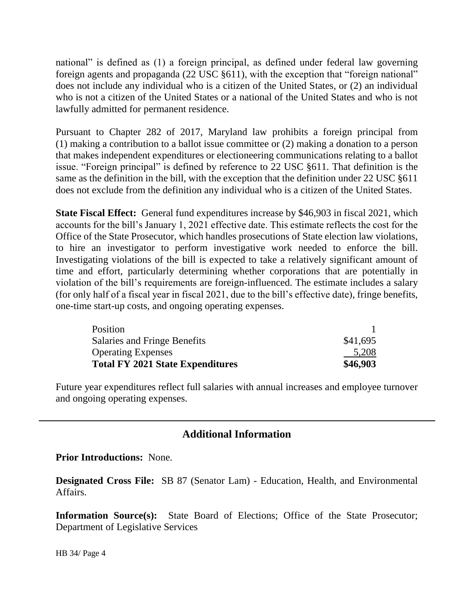national" is defined as (1) a foreign principal, as defined under federal law governing foreign agents and propaganda (22 USC §611), with the exception that "foreign national" does not include any individual who is a citizen of the United States, or (2) an individual who is not a citizen of the United States or a national of the United States and who is not lawfully admitted for permanent residence.

Pursuant to Chapter 282 of 2017, Maryland law prohibits a foreign principal from (1) making a contribution to a ballot issue committee or (2) making a donation to a person that makes independent expenditures or electioneering communications relating to a ballot issue. "Foreign principal" is defined by reference to 22 USC §611. That definition is the same as the definition in the bill, with the exception that the definition under 22 USC §611 does not exclude from the definition any individual who is a citizen of the United States.

**State Fiscal Effect:** General fund expenditures increase by \$46,903 in fiscal 2021, which accounts for the bill's January 1, 2021 effective date. This estimate reflects the cost for the Office of the State Prosecutor, which handles prosecutions of State election law violations, to hire an investigator to perform investigative work needed to enforce the bill. Investigating violations of the bill is expected to take a relatively significant amount of time and effort, particularly determining whether corporations that are potentially in violation of the bill's requirements are foreign-influenced. The estimate includes a salary (for only half of a fiscal year in fiscal 2021, due to the bill's effective date), fringe benefits, one-time start-up costs, and ongoing operating expenses.

| Position                                |          |
|-----------------------------------------|----------|
| Salaries and Fringe Benefits            | \$41,695 |
| <b>Operating Expenses</b>               | 5,208    |
| <b>Total FY 2021 State Expenditures</b> | \$46,903 |

Future year expenditures reflect full salaries with annual increases and employee turnover and ongoing operating expenses.

# **Additional Information**

#### **Prior Introductions:** None.

**Designated Cross File:** SB 87 (Senator Lam) - Education, Health, and Environmental Affairs.

**Information Source(s):** State Board of Elections; Office of the State Prosecutor; Department of Legislative Services